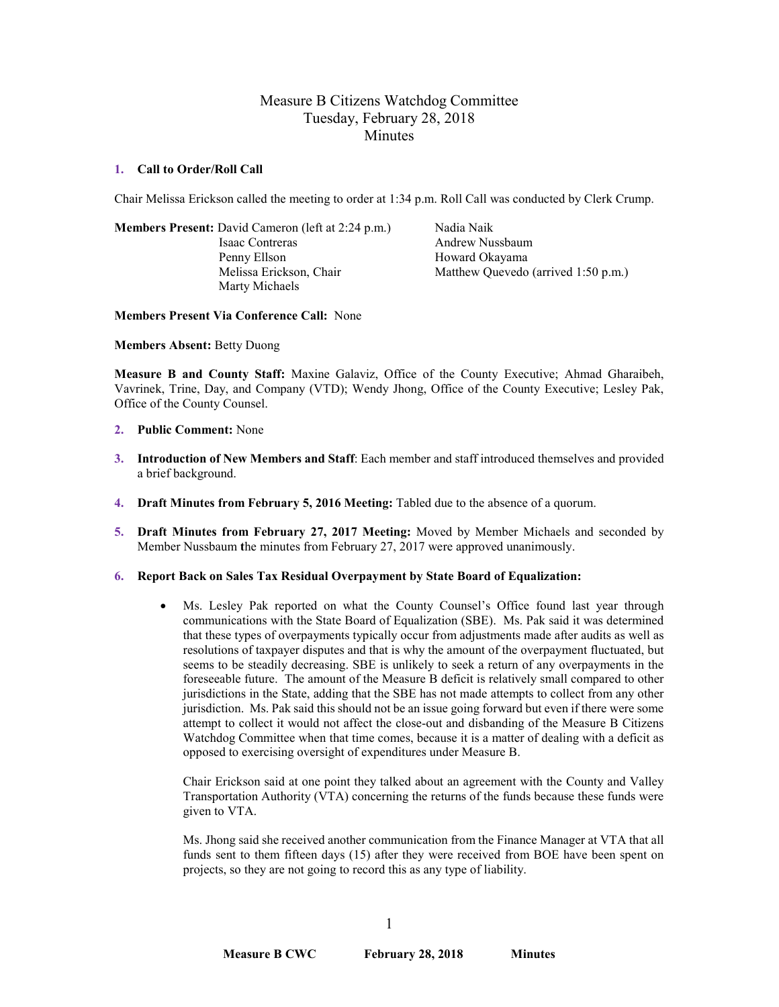# Measure B Citizens Watchdog Committee Tuesday, February 28, 2018 **Minutes**

#### **1. Call to Order/Roll Call**

Chair Melissa Erickson called the meeting to order at 1:34 p.m. Roll Call was conducted by Clerk Crump.

**Members Present:** David Cameron (left at 2:24 p.m.) Nadia Naik Isaac Contreras Andrew Nussbaum Penny Ellson Howard Okayama Marty Michaels

Melissa Erickson, Chair Matthew Quevedo (arrived 1:50 p.m.)

**Members Present Via Conference Call:** None

**Members Absent:** Betty Duong

**Measure B and County Staff:** Maxine Galaviz, Office of the County Executive; Ahmad Gharaibeh, Vavrinek, Trine, Day, and Company (VTD); Wendy Jhong, Office of the County Executive; Lesley Pak, Office of the County Counsel.

- **2. Public Comment:** None
- **3. Introduction of New Members and Staff**: Each member and staff introduced themselves and provided a brief background.
- **4. Draft Minutes from February 5, 2016 Meeting:** Tabled due to the absence of a quorum.
- **5. Draft Minutes from February 27, 2017 Meeting:** Moved by Member Michaels and seconded by Member Nussbaum **t**he minutes from February 27, 2017 were approved unanimously.
- **6. Report Back on Sales Tax Residual Overpayment by State Board of Equalization:**
	- Ms. Lesley Pak reported on what the County Counsel's Office found last year through communications with the State Board of Equalization (SBE). Ms. Pak said it was determined that these types of overpayments typically occur from adjustments made after audits as well as resolutions of taxpayer disputes and that is why the amount of the overpayment fluctuated, but seems to be steadily decreasing. SBE is unlikely to seek a return of any overpayments in the foreseeable future. The amount of the Measure B deficit is relatively small compared to other jurisdictions in the State, adding that the SBE has not made attempts to collect from any other jurisdiction. Ms. Pak said this should not be an issue going forward but even if there were some attempt to collect it would not affect the close-out and disbanding of the Measure B Citizens Watchdog Committee when that time comes, because it is a matter of dealing with a deficit as opposed to exercising oversight of expenditures under Measure B.

Chair Erickson said at one point they talked about an agreement with the County and Valley Transportation Authority (VTA) concerning the returns of the funds because these funds were given to VTA.

Ms. Jhong said she received another communication from the Finance Manager at VTA that all funds sent to them fifteen days (15) after they were received from BOE have been spent on projects, so they are not going to record this as any type of liability.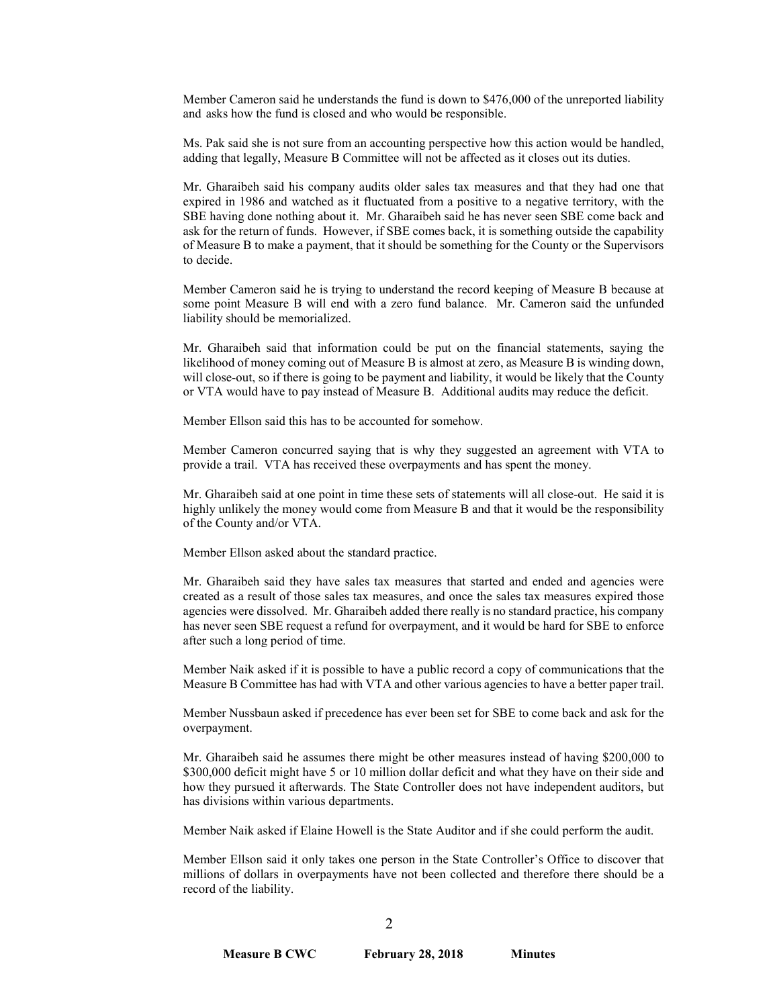Member Cameron said he understands the fund is down to \$476,000 of the unreported liability and asks how the fund is closed and who would be responsible.

Ms. Pak said she is not sure from an accounting perspective how this action would be handled, adding that legally, Measure B Committee will not be affected as it closes out its duties.

Mr. Gharaibeh said his company audits older sales tax measures and that they had one that expired in 1986 and watched as it fluctuated from a positive to a negative territory, with the SBE having done nothing about it. Mr. Gharaibeh said he has never seen SBE come back and ask for the return of funds. However, if SBE comes back, it is something outside the capability of Measure B to make a payment, that it should be something for the County or the Supervisors to decide.

Member Cameron said he is trying to understand the record keeping of Measure B because at some point Measure B will end with a zero fund balance. Mr. Cameron said the unfunded liability should be memorialized.

Mr. Gharaibeh said that information could be put on the financial statements, saying the likelihood of money coming out of Measure B is almost at zero, as Measure B is winding down, will close-out, so if there is going to be payment and liability, it would be likely that the County or VTA would have to pay instead of Measure B. Additional audits may reduce the deficit.

Member Ellson said this has to be accounted for somehow.

Member Cameron concurred saying that is why they suggested an agreement with VTA to provide a trail. VTA has received these overpayments and has spent the money.

Mr. Gharaibeh said at one point in time these sets of statements will all close-out. He said it is highly unlikely the money would come from Measure B and that it would be the responsibility of the County and/or VTA.

Member Ellson asked about the standard practice.

Mr. Gharaibeh said they have sales tax measures that started and ended and agencies were created as a result of those sales tax measures, and once the sales tax measures expired those agencies were dissolved. Mr. Gharaibeh added there really is no standard practice, his company has never seen SBE request a refund for overpayment, and it would be hard for SBE to enforce after such a long period of time.

Member Naik asked if it is possible to have a public record a copy of communications that the Measure B Committee has had with VTA and other various agencies to have a better paper trail.

Member Nussbaun asked if precedence has ever been set for SBE to come back and ask for the overpayment.

Mr. Gharaibeh said he assumes there might be other measures instead of having \$200,000 to \$300,000 deficit might have 5 or 10 million dollar deficit and what they have on their side and how they pursued it afterwards. The State Controller does not have independent auditors, but has divisions within various departments.

Member Naik asked if Elaine Howell is the State Auditor and if she could perform the audit.

Member Ellson said it only takes one person in the State Controller's Office to discover that millions of dollars in overpayments have not been collected and therefore there should be a record of the liability.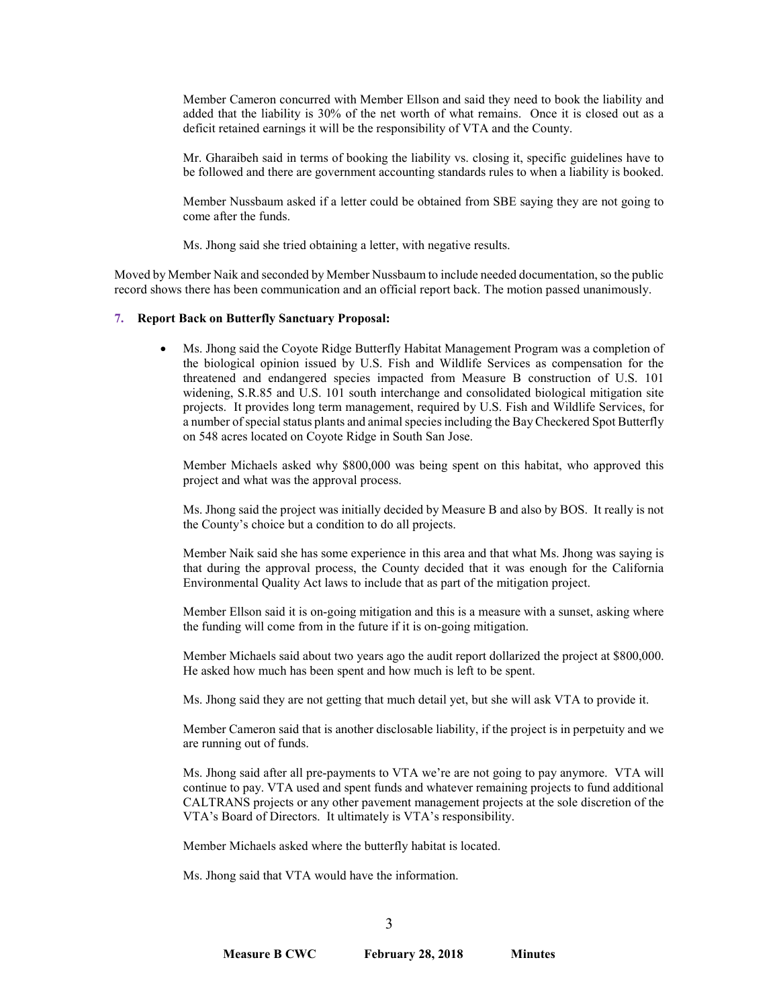Member Cameron concurred with Member Ellson and said they need to book the liability and added that the liability is 30% of the net worth of what remains. Once it is closed out as a deficit retained earnings it will be the responsibility of VTA and the County.

Mr. Gharaibeh said in terms of booking the liability vs. closing it, specific guidelines have to be followed and there are government accounting standards rules to when a liability is booked.

Member Nussbaum asked if a letter could be obtained from SBE saying they are not going to come after the funds.

Ms. Jhong said she tried obtaining a letter, with negative results.

Moved by Member Naik and seconded by Member Nussbaum to include needed documentation, so the public record shows there has been communication and an official report back. The motion passed unanimously.

#### **7. Report Back on Butterfly Sanctuary Proposal:**

• Ms. Jhong said the Coyote Ridge Butterfly Habitat Management Program was a completion of the biological opinion issued by U.S. Fish and Wildlife Services as compensation for the threatened and endangered species impacted from Measure B construction of U.S. 101 widening, S.R.85 and U.S. 101 south interchange and consolidated biological mitigation site projects. It provides long term management, required by U.S. Fish and Wildlife Services, for a number of special status plants and animal species including the Bay Checkered Spot Butterfly on 548 acres located on Coyote Ridge in South San Jose.

Member Michaels asked why \$800,000 was being spent on this habitat, who approved this project and what was the approval process.

Ms. Jhong said the project was initially decided by Measure B and also by BOS. It really is not the County's choice but a condition to do all projects.

Member Naik said she has some experience in this area and that what Ms. Jhong was saying is that during the approval process, the County decided that it was enough for the California Environmental Quality Act laws to include that as part of the mitigation project.

Member Ellson said it is on-going mitigation and this is a measure with a sunset, asking where the funding will come from in the future if it is on-going mitigation.

Member Michaels said about two years ago the audit report dollarized the project at \$800,000. He asked how much has been spent and how much is left to be spent.

Ms. Jhong said they are not getting that much detail yet, but she will ask VTA to provide it.

Member Cameron said that is another disclosable liability, if the project is in perpetuity and we are running out of funds.

Ms. Jhong said after all pre-payments to VTA we're are not going to pay anymore. VTA will continue to pay. VTA used and spent funds and whatever remaining projects to fund additional CALTRANS projects or any other pavement management projects at the sole discretion of the VTA's Board of Directors. It ultimately is VTA's responsibility.

Member Michaels asked where the butterfly habitat is located.

Ms. Jhong said that VTA would have the information.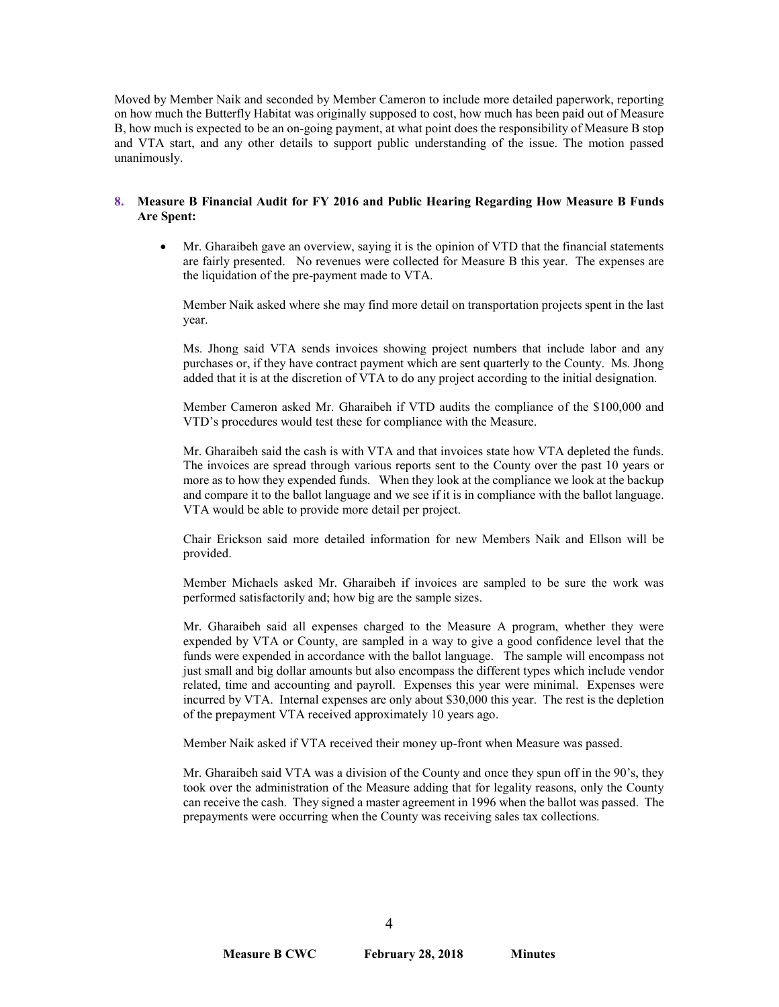Moved by Member Naik and seconded by Member Cameron to include more detailed paperwork, reporting on how much the Butterfly Habitat was originally supposed to cost, how much has been paid out of Measure B, how much is expected to be an on-going payment, at what point does the responsibility of Measure B stop and VTA start, and any other details to support public understanding of the issue. The motion passed unanimously.

## **8. Measure B Financial Audit for FY 2016 and Public Hearing Regarding How Measure B Funds Are Spent:**

• Mr. Gharaibeh gave an overview, saying it is the opinion of VTD that the financial statements are fairly presented. No revenues were collected for Measure B this year. The expenses are the liquidation of the pre-payment made to VTA.

Member Naik asked where she may find more detail on transportation projects spent in the last year.

Ms. Jhong said VTA sends invoices showing project numbers that include labor and any purchases or, if they have contract payment which are sent quarterly to the County. Ms. Jhong added that it is at the discretion of VTA to do any project according to the initial designation.

Member Cameron asked Mr. Gharaibeh if VTD audits the compliance of the \$100,000 and VTD's procedures would test these for compliance with the Measure.

Mr. Gharaibeh said the cash is with VTA and that invoices state how VTA depleted the funds. The invoices are spread through various reports sent to the County over the past 10 years or more as to how they expended funds. When they look at the compliance we look at the backup and compare it to the ballot language and we see if it is in compliance with the ballot language. VTA would be able to provide more detail per project.

Chair Erickson said more detailed information for new Members Naik and Ellson will be provided.

Member Michaels asked Mr. Gharaibeh if invoices are sampled to be sure the work was performed satisfactorily and; how big are the sample sizes.

Mr. Gharaibeh said all expenses charged to the Measure A program, whether they were expended by VTA or County, are sampled in a way to give a good confidence level that the funds were expended in accordance with the ballot language. The sample will encompass not just small and big dollar amounts but also encompass the different types which include vendor related, time and accounting and payroll. Expenses this year were minimal. Expenses were incurred by VTA. Internal expenses are only about \$30,000 this year. The rest is the depletion of the prepayment VTA received approximately 10 years ago.

Member Naik asked if VTA received their money up-front when Measure was passed.

Mr. Gharaibeh said VTA was a division of the County and once they spun off in the 90's, they took over the administration of the Measure adding that for legality reasons, only the County can receive the cash. They signed a master agreement in 1996 when the ballot was passed. The prepayments were occurring when the County was receiving sales tax collections.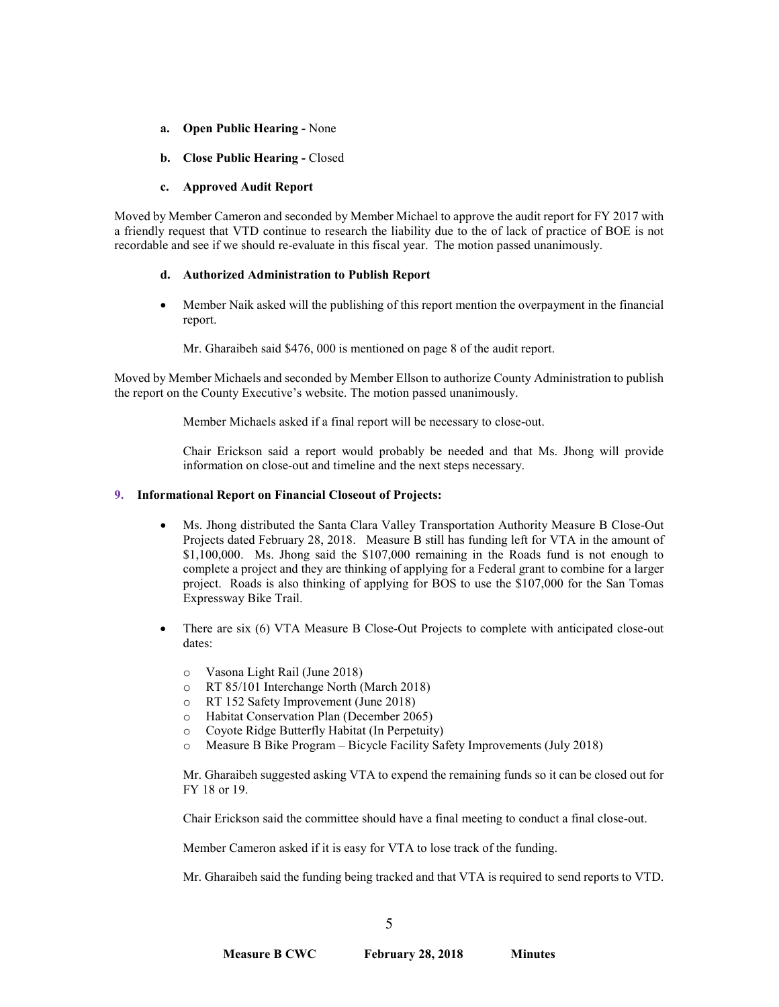- **a. Open Public Hearing -** None
- **b. Close Public Hearing -** Closed

## **c. Approved Audit Report**

Moved by Member Cameron and seconded by Member Michael to approve the audit report for FY 2017 with a friendly request that VTD continue to research the liability due to the of lack of practice of BOE is not recordable and see if we should re-evaluate in this fiscal year. The motion passed unanimously.

## **d. Authorized Administration to Publish Report**

• Member Naik asked will the publishing of this report mention the overpayment in the financial report.

Mr. Gharaibeh said \$476, 000 is mentioned on page 8 of the audit report.

Moved by Member Michaels and seconded by Member Ellson to authorize County Administration to publish the report on the County Executive's website. The motion passed unanimously.

Member Michaels asked if a final report will be necessary to close-out.

Chair Erickson said a report would probably be needed and that Ms. Jhong will provide information on close-out and timeline and the next steps necessary.

## **9. Informational Report on Financial Closeout of Projects:**

- Ms. Jhong distributed the Santa Clara Valley Transportation Authority Measure B Close-Out Projects dated February 28, 2018. Measure B still has funding left for VTA in the amount of \$1,100,000. Ms. Jhong said the \$107,000 remaining in the Roads fund is not enough to complete a project and they are thinking of applying for a Federal grant to combine for a larger project. Roads is also thinking of applying for BOS to use the \$107,000 for the San Tomas Expressway Bike Trail.
- There are six (6) VTA Measure B Close-Out Projects to complete with anticipated close-out dates:
	- o Vasona Light Rail (June 2018)
	- o RT 85/101 Interchange North (March 2018)
	- o RT 152 Safety Improvement (June 2018)
	- o Habitat Conservation Plan (December 2065)
	- o Coyote Ridge Butterfly Habitat (In Perpetuity)
	- Measure B Bike Program Bicycle Facility Safety Improvements (July 2018)

Mr. Gharaibeh suggested asking VTA to expend the remaining funds so it can be closed out for FY 18 or 19.

Chair Erickson said the committee should have a final meeting to conduct a final close-out.

Member Cameron asked if it is easy for VTA to lose track of the funding.

Mr. Gharaibeh said the funding being tracked and that VTA is required to send reports to VTD.